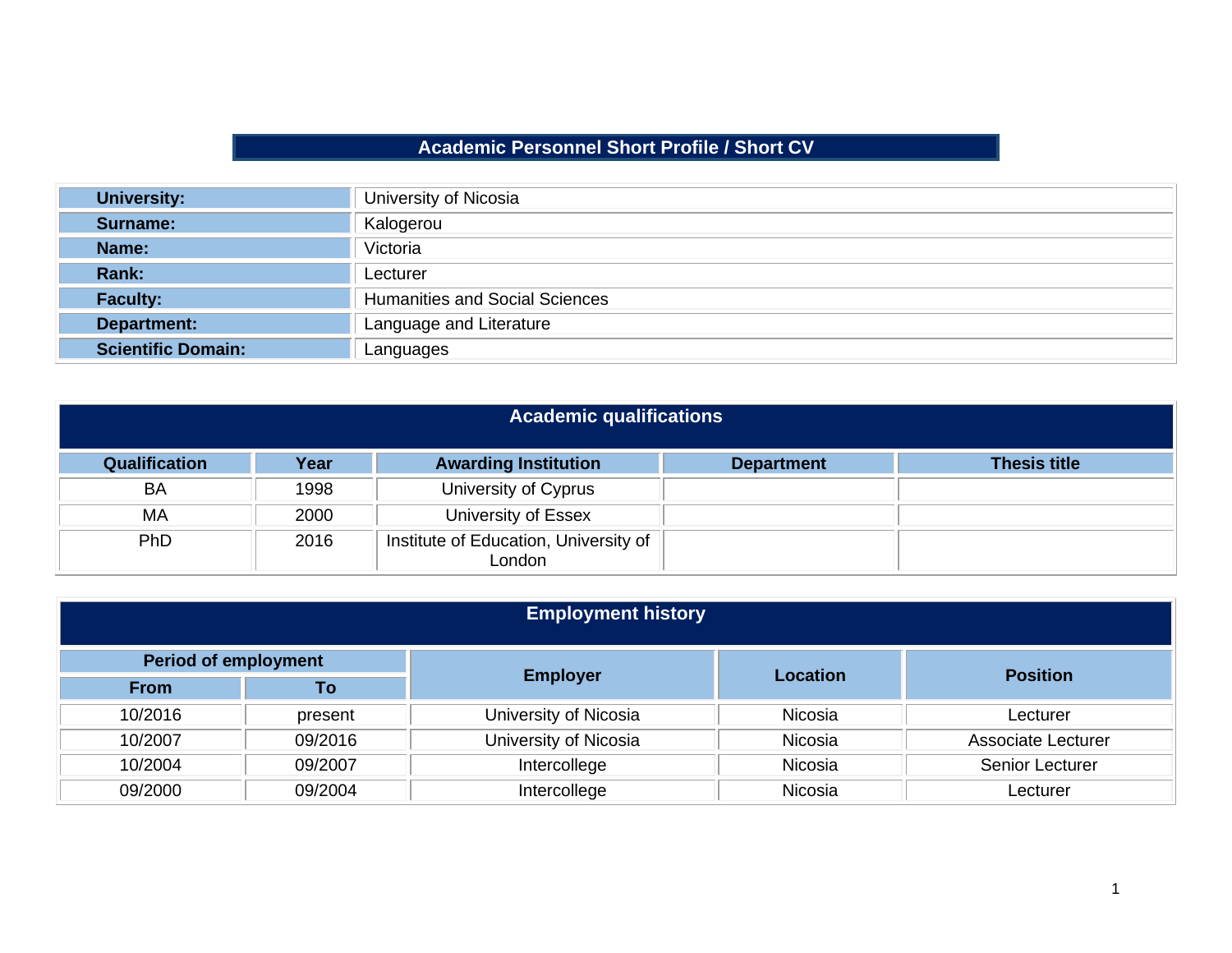## **Academic Personnel Short Profile / Short CV**

| <b>University:</b>        | University of Nicosia                 |  |
|---------------------------|---------------------------------------|--|
| Surname:                  | Kalogerou                             |  |
| Name:                     | Victoria                              |  |
| Rank:                     | Lecturer                              |  |
| <b>Faculty:</b>           | <b>Humanities and Social Sciences</b> |  |
| <b>Department:</b>        | Language and Literature               |  |
| <b>Scientific Domain:</b> | Languages                             |  |

| <b>Academic qualifications</b> |      |                                                 |                   |                     |  |
|--------------------------------|------|-------------------------------------------------|-------------------|---------------------|--|
| Qualification                  | Year | <b>Awarding Institution</b>                     | <b>Department</b> | <b>Thesis title</b> |  |
| <b>BA</b>                      | 1998 | University of Cyprus                            |                   |                     |  |
| MA                             | 2000 | University of Essex                             |                   |                     |  |
| PhD                            | 2016 | Institute of Education, University of<br>London |                   |                     |  |

| <b>Employment history</b>   |         |                       |                 |                           |
|-----------------------------|---------|-----------------------|-----------------|---------------------------|
| <b>Period of employment</b> |         |                       |                 | <b>Position</b>           |
| <b>From</b>                 | To      | <b>Employer</b>       | <b>Location</b> |                           |
| 10/2016                     | present | University of Nicosia | Nicosia         | Lecturer                  |
| 10/2007                     | 09/2016 | University of Nicosia | Nicosia         | <b>Associate Lecturer</b> |
| 10/2004                     | 09/2007 | Intercollege          | Nicosia         | Senior Lecturer           |
| 09/2000                     | 09/2004 | Intercollege          | Nicosia         | Lecturer                  |